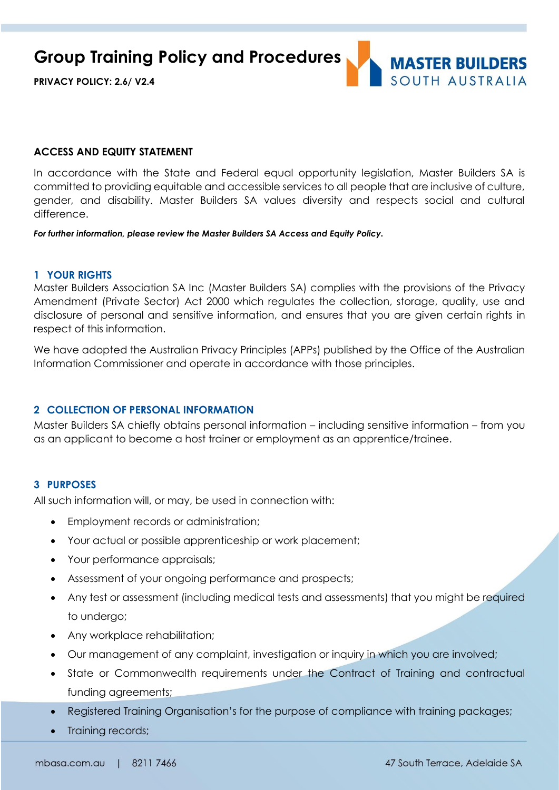**Group Training Policy and Procedures**

**PRIVACY POLICY: 2.6/ V2.4**



#### **ACCESS AND EQUITY STATEMENT**

In accordance with the State and Federal equal opportunity legislation, Master Builders SA is committed to providing equitable and accessible services to all people that are inclusive of culture, gender, and disability. Master Builders SA values diversity and respects social and cultural difference.

*For further information, please review the Master Builders SA Access and Equity Policy.*

#### **1 YOUR RIGHTS**

Master Builders Association SA Inc (Master Builders SA) complies with the provisions of the Privacy Amendment (Private Sector) Act 2000 which regulates the collection, storage, quality, use and disclosure of personal and sensitive information, and ensures that you are given certain rights in respect of this information.

We have adopted the Australian Privacy Principles (APPs) published by the Office of the Australian Information Commissioner and operate in accordance with those principles.

### **2 COLLECTION OF PERSONAL INFORMATION**

Master Builders SA chiefly obtains personal information – including sensitive information – from you as an applicant to become a host trainer or employment as an apprentice/trainee.

#### **3 PURPOSES**

All such information will, or may, be used in connection with:

- Employment records or administration;
- Your actual or possible apprenticeship or work placement;
- Your performance appraisals;
- Assessment of your ongoing performance and prospects;
- Any test or assessment (including medical tests and assessments) that you might be required to undergo;
- Any workplace rehabilitation;
- Our management of any complaint, investigation or inquiry in which you are involved;
- State or Commonwealth requirements under the Contract of Training and contractual funding agreements;
- Registered Training Organisation's for the purpose of compliance with training packages;
- Training records;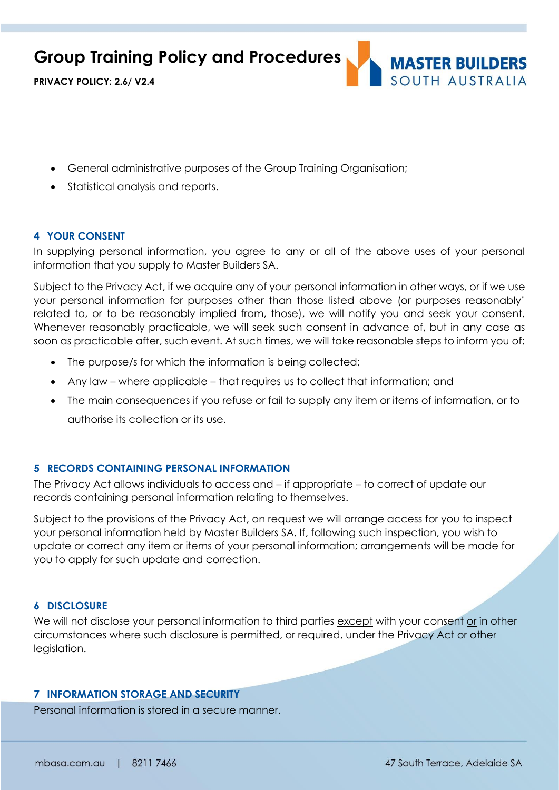**Group Training Policy and Procedures**



**PRIVACY POLICY: 2.6/ V2.4**

- General administrative purposes of the Group Training Organisation;
- Statistical analysis and reports.

# **4 YOUR CONSENT**

In supplying personal information, you agree to any or all of the above uses of your personal information that you supply to Master Builders SA.

Subject to the Privacy Act, if we acquire any of your personal information in other ways, or if we use your personal information for purposes other than those listed above (or purposes reasonably' related to, or to be reasonably implied from, those), we will notify you and seek your consent. Whenever reasonably practicable, we will seek such consent in advance of, but in any case as soon as practicable after, such event. At such times, we will take reasonable steps to inform you of:

- The purpose/s for which the information is being collected;
- Any law where applicable that requires us to collect that information; and
- The main consequences if you refuse or fail to supply any item or items of information, or to authorise its collection or its use.

# **5 RECORDS CONTAINING PERSONAL INFORMATION**

The Privacy Act allows individuals to access and – if appropriate – to correct of update our records containing personal information relating to themselves.

Subject to the provisions of the Privacy Act, on request we will arrange access for you to inspect your personal information held by Master Builders SA. If, following such inspection, you wish to update or correct any item or items of your personal information; arrangements will be made for you to apply for such update and correction.

### **6 DISCLOSURE**

We will not disclose your personal information to third parties except with your consent or in other circumstances where such disclosure is permitted, or required, under the Privacy Act or other legislation.

## **7 INFORMATION STORAGE AND SECURITY**

Personal information is stored in a secure manner.